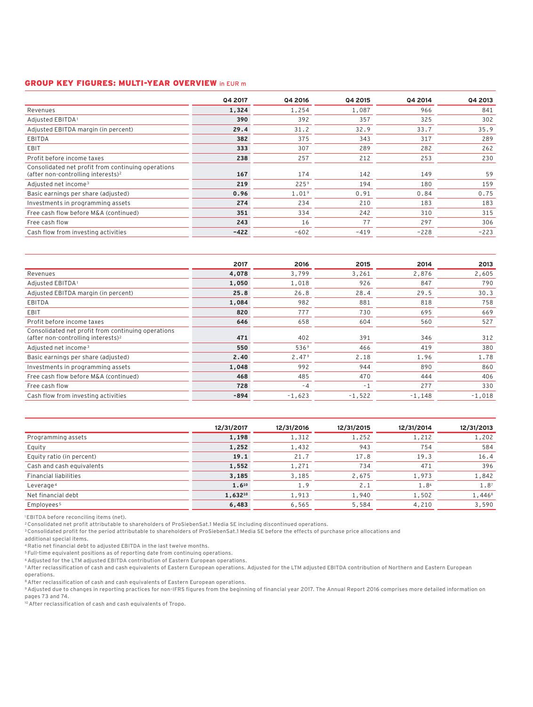## GROUP KEY FIGURES: MULTI-YEAR OVERVIEW in EUR m

| Q4 2017 | Q4 2016           | Q4 2015 | Q4 2014 | Q4 2013 |
|---------|-------------------|---------|---------|---------|
| 1,324   | 1.254             | 1,087   | 966     | 841     |
| 390     | 392               | 357     | 325     | 302     |
| 29.4    | 31.2              | 32.9    | 33.7    | 35.9    |
| 382     | 375               | 343     | 317     | 289     |
| 333     | 307               | 289     | 282     | 262     |
| 238     | 257               | 212     | 253     | 230     |
| 167     | 174               | 142     | 149     | 59      |
| 219     | 225 <sup>9</sup>  | 194     | 180     | 159     |
| 0.96    | 1.01 <sup>9</sup> | 0.91    | 0.84    | 0.75    |
| 274     | 234               | 210     | 183     | 183     |
| 351     | 334               | 242     | 310     | 315     |
| 243     | 16                | 77      | 297     | 306     |
| $-422$  | $-602$            | $-419$  | $-228$  | $-223$  |
|         |                   |         |         |         |

|                                                                                                      | 2017   | 2016              | 2015     | 2014     | 2013     |
|------------------------------------------------------------------------------------------------------|--------|-------------------|----------|----------|----------|
| Revenues                                                                                             | 4,078  | 3,799             | 3,261    | 2,876    | 2,605    |
| Adjusted EBITDA <sup>1</sup>                                                                         | 1,050  | 1,018             | 926      | 847      | 790      |
| Adjusted EBITDA margin (in percent)                                                                  | 25.8   | 26.8              | 28.4     | 29.5     | 30.3     |
| <b>EBITDA</b>                                                                                        | 1,084  | 982               | 881      | 818      | 758      |
| <b>EBIT</b>                                                                                          | 820    | 777               | 730      | 695      | 669      |
| Profit before income taxes                                                                           | 646    | 658               | 604      | 560      | 527      |
| Consolidated net profit from continuing operations<br>(after non-controlling interests) <sup>2</sup> | 471    | 402               | 391      | 346      | 312      |
| Adjusted net income <sup>3</sup>                                                                     | 550    | 536 <sup>9</sup>  | 466      | 419      | 380      |
| Basic earnings per share (adjusted)                                                                  | 2.40   | 2.47 <sup>9</sup> | 2.18     | 1.96     | 1.78     |
| Investments in programming assets                                                                    | 1,048  | 992               | 944      | 890      | 860      |
| Free cash flow before M&A (continued)                                                                | 468    | 485               | 470      | 444      | 406      |
| Free cash flow                                                                                       | 728    | $-4$              | $-1$     | 277      | 330      |
| Cash flow from investing activities                                                                  | $-894$ | $-1,623$          | $-1,522$ | $-1,148$ | $-1,018$ |

|                              | 12/31/2017 | 12/31/2016 | 12/31/2015 | 12/31/2014 | 12/31/2013       |
|------------------------------|------------|------------|------------|------------|------------------|
| Programming assets           | 1,198      | 1,312      | 1,252      | 1,212      | 1,202            |
| Equity                       | 1,252      | 1,432      | 943        | 754        | 584              |
| Equity ratio (in percent)    | 19.1       | 21.7       | 17.8       | 19.3       | 16.4             |
| Cash and cash equivalents    | 1,552      | 1,271      | 734        | 471        | 396              |
| <b>Financial liabilities</b> | 3,185      | 3,185      | 2,675      | 1,973      | 1,842            |
| Leverage <sup>4</sup>        | $1.6^{10}$ | 1.9        | 2.1        | 1.86       | 1.8 <sup>7</sup> |
| Net financial debt           | 1,63210    | 1,913      | 1,940      | 1,502      | 1,4468           |
| Employees <sup>5</sup>       | 6,483      | 6,565      | 5,584      | 4,210      | 3,590            |

1EBITDA before reconciling items (net).

2Consolidated net profit attributable to shareholders of ProSiebenSat.1 Media SE including discontinued operations.

3Consolidated profit for the period attributable to shareholders of ProSiebenSat.1 Media SE before the effects of purchase price allocations and additional special items.

4Ratio net financial debt to adjusted EBITDA in the last twelve months.

<sup>5</sup> Full-time equivalent positions as of reporting date from continuing operations.

6Adjusted for the LTM adjusted EBITDA contribution of Eastern European operations.

7After reclassification of cash and cash equivalents of Eastern European operations. Adjusted for the LTM adjusted EBITDA contribution of Northern and Eastern European

operations.

8 After reclassification of cash and cash equivalents of Eastern European operations.

9Adjusted due to changes in reporting practices for non-IFRS figures from the beginning of financial year 2017. The Annual Report 2016 comprises more detailed information on pages 73 and 74.

10After reclassification of cash and cash equivalents of Tropo.